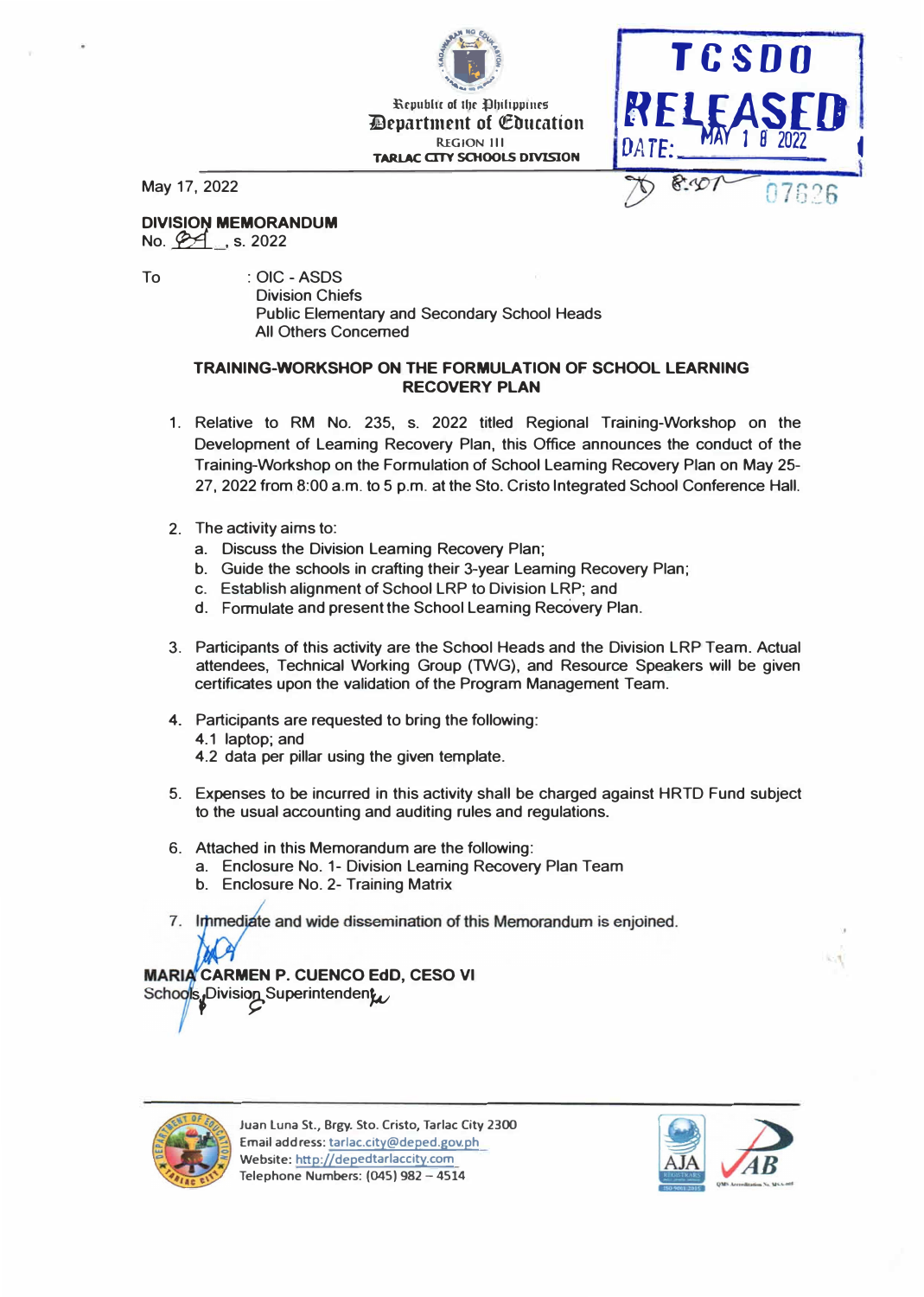**A** *Samuel Address of the Company's* **Republic of the Dhiftippines Department of Education REGION Ill TARI.AC OTY SCHOOlS DIVISION** 

Island Route



May 17, 2022

## **DIVISION MEMORANDUM**

No.  $\cancel{24}$ , s. 2022

To : OIC - ASDS Division Chiefs Public Elementary and Secondary School Heads All Others Concerned

## **TRAINING-WORKSHOP ON THE FORMULATION OF SCHOOL LEARNING RECOVERY PLAN**

- 1. Relative to RM No. 235, s. 2022 titled Regional Training-Workshop on the Development of Leaming Recovery Plan, this Office announces the conduct of the Training-Workshop on the Formulation of School Leaming Recovery Plan on May 25- 27, 2022 from 8:00 a.m. to 5 p.m. at the Sto. Cristo Integrated School Conference Hall.
- 2. The activity aims to:
	- a. Discuss the Division Leaming Recovery Plan;
	- b. Guide the schools in crafting their 3-year Leaming Recovery Plan;
	- c. Establish alignment of School LRP to Division LRP; and
	- d. Formulate and present the School Leaming Recovery Plan.
- 3. Participants of this activity are the School Heads and the Division LRP Team. Actual attendees, Technical Working Group (TWG), and Resource Speakers will be given certificates upon the validation of the Program Management Team.
- 4. Participants are requested to bring the following: 4.1 laptop; and 4.2 data per pillar using the given template.
- 5. Expenses to be incurred in this activity shall be charged against HRTD Fund subject to the usual accounting and auditing rules and regulations.
- 6. Attached in this Memorandum are the following:
	- a. Enclosure No. 1- Division Leaming Recovery Plan Team
	- b. Enclosure No. 2- Training Matrix
- 7. Immediate and wide dissemination of this Memorandum is enjoined.

# **MARIA CARMEN P. CUENCO EdD, CESO VI**

s<sub>t</sub>Division Superintenden**;**<br>P



**Juan Luna St., Brgy. Sto. Cristo, Tarlac Qty 2300 Email address: tarlac.city@deped.gov.ph Website: http://depedtarlaccity.com Telephone Numbers: (045) 982 - 4514** 

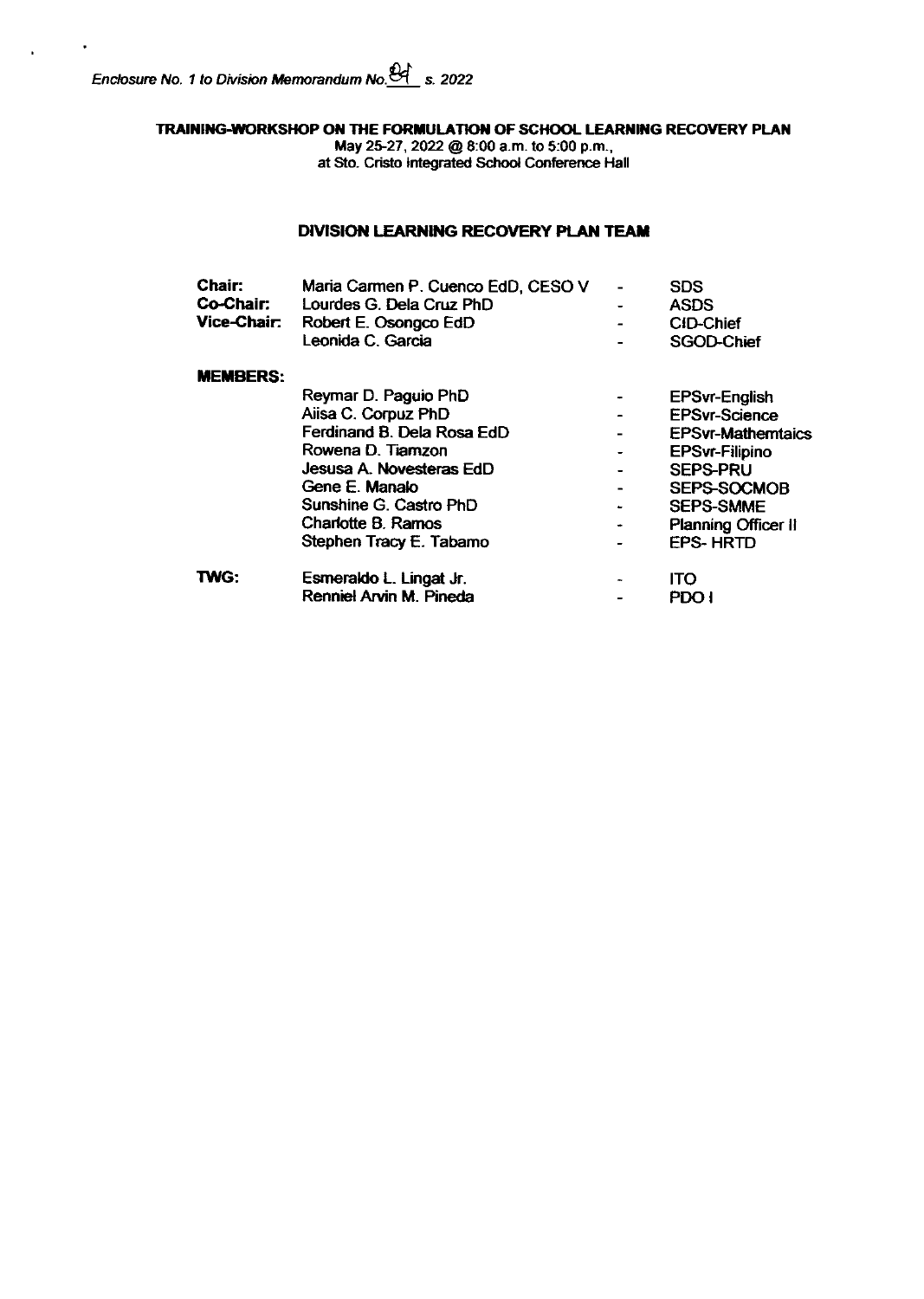$\mathbf{r}$ 

 $\ddot{\phantom{a}}$ 

TRAINING-WORKSHOP ON THE FORMULATION OF SCHOOL LEARNING RECOVERY PLAN

May 25-27, 2022 @ 8:00 a.m. to 5:00 p.m.,<br>at Sto. Cristo Integrated School Conference Hall

## **DIVISION LEARNING RECOVERY PLAN TEAM**

| <b>Chair:</b>   | Maria Carmen P. Cuenco EdD, CESO V | <b>SDS</b>                 |
|-----------------|------------------------------------|----------------------------|
| Co-Chair:       | Lourdes G. Dela Cruz PhD           | <b>ASDS</b>                |
| Vice-Chair:     | Robert E. Osongco EdD              | <b>CID-Chief</b>           |
|                 | Leonida C. Garcia                  | SGOD-Chief                 |
| <b>MEMBERS:</b> |                                    |                            |
|                 | Reymar D. Paguio PhD               | <b>EPSvr-English</b>       |
|                 | Aiisa C. Corpuz PhD                | <b>EPSyr-Science</b>       |
|                 | Ferdinand B. Dela Rosa EdD         | <b>EPSvr-Mathemtaics</b>   |
|                 | Rowena D. Tiamzon                  | <b>EPSvr-Filipino</b>      |
|                 | Jesusa A. Novesteras EdD           | <b>SEPS-PRU</b>            |
|                 | Gene E. Manalo                     | SEPS-SOCMOB                |
|                 | Sunshine G. Castro PhD             | <b>SEPS-SMME</b>           |
|                 | Charlotte B. Ramos                 | <b>Planning Officer II</b> |
|                 | Stephen Tracy E. Tabamo            | <b>EPS-HRTD</b>            |
| <b>TWG:</b>     | Esmeraldo L. Lingat Jr.            | <b>ITO</b>                 |
|                 | Renniel Arvin M. Pineda            | PDO I                      |